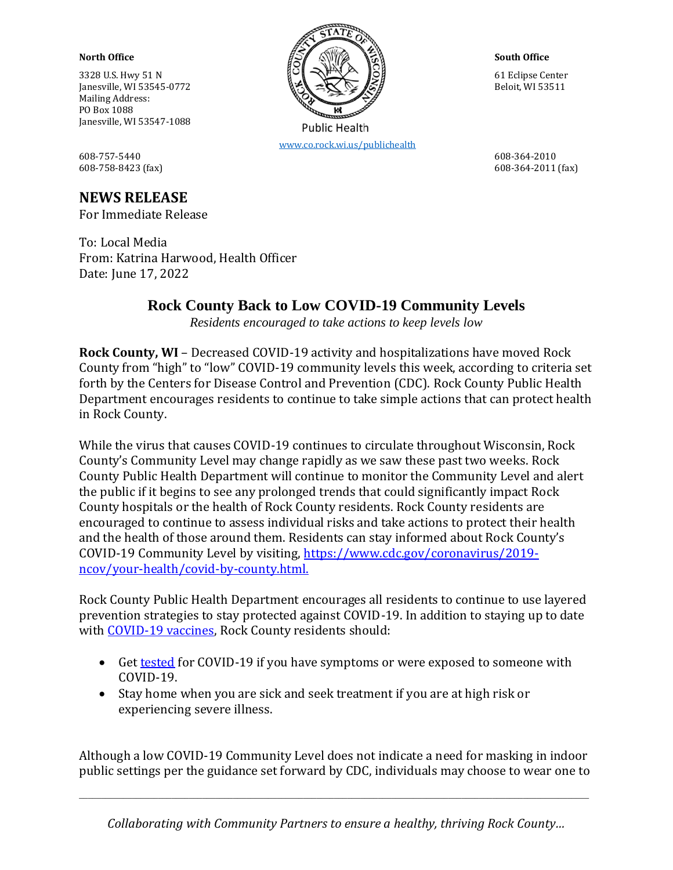Mailing Address: PO Box 1088 Janesville, WI 53547-1088

608-757-5440 608-364-2010 608-758-8423 (fax) 608-364-2011 (fax)

## **NEWS RELEASE**

For Immediate Release

To: Local Media From: Katrina Harwood, Health Officer Date: June 17, 2022

## **Rock County Back to Low COVID-19 Community Levels**

*Residents encouraged to take actions to keep levels low*

**Rock County, WI** – Decreased COVID-19 activity and hospitalizations have moved Rock County from "high" to "low" COVID-19 community levels this week, according to criteria set forth by the Centers for Disease Control and Prevention (CDC). Rock County Public Health Department encourages residents to continue to take simple actions that can protect health in Rock County.

While the virus that causes COVID-19 continues to circulate throughout Wisconsin, Rock County's Community Level may change rapidly as we saw these past two weeks. Rock County Public Health Department will continue to monitor the Community Level and alert the public if it begins to see any prolonged trends that could significantly impact Rock County hospitals or the health of Rock County residents. Rock County residents are encouraged to continue to assess individual risks and take actions to protect their health and the health of those around them. Residents can stay informed about Rock County's COVID-19 Community Level by visiting, [https://www.cdc.gov/coronavirus/2019](https://www.cdc.gov/coronavirus/2019-ncov/your-health/covid-by-county.html) [ncov/your-health/covid-by-county.html.](https://www.cdc.gov/coronavirus/2019-ncov/your-health/covid-by-county.html)

Rock County Public Health Department encourages all residents to continue to use layered prevention strategies to stay protected against COVID-19. In addition to staying up to date with [COVID-19 vaccines,](https://www.co.rock.wi.us/departments/public-health/communicable-disease/covid-19/covid-19-vaccines) Rock County residents should:

- Get [tested](https://www.co.rock.wi.us/departments/public-health/communicable-disease/covid-19/covid-19-testing) for COVID-19 if you have symptoms or were exposed to someone with COVID-19.
- Stay home when you are sick and seek treatment if you are at high risk or experiencing severe illness.

Although a low COVID-19 Community Level does not indicate a need for masking in indoor public settings per the guidance set forward by CDC, individuals may choose to wear one to

 $\_$  ,  $\_$  ,  $\_$  ,  $\_$  ,  $\_$  ,  $\_$  ,  $\_$  ,  $\_$  ,  $\_$  ,  $\_$  ,  $\_$  ,  $\_$  ,  $\_$  ,  $\_$  ,  $\_$  ,  $\_$  ,  $\_$  ,  $\_$  ,  $\_$  ,  $\_$  ,  $\_$  ,  $\_$  ,  $\_$  ,  $\_$  ,  $\_$  ,  $\_$  ,  $\_$  ,  $\_$  ,  $\_$  ,  $\_$  ,  $\_$  ,  $\_$  ,  $\_$  ,  $\_$  ,  $\_$  ,  $\_$  ,  $\_$  ,



[www.co.rock.wi.us/publichealth](http://www.co.rock.wi.us/publichealth)